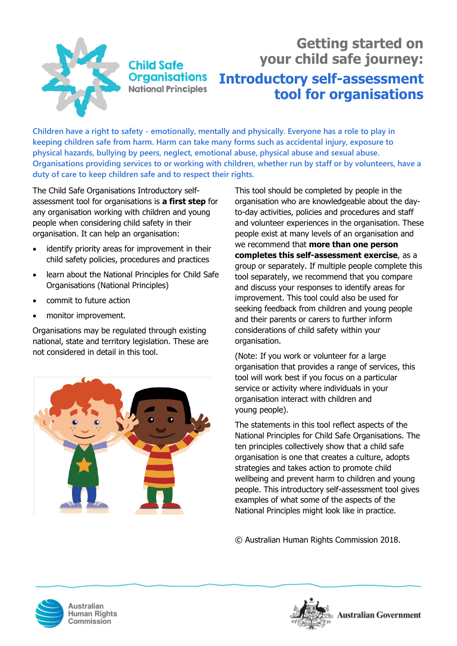

**Child Safe Organisations National Principles** 

# **Getting started on your child safe journey: Introductory self-assessment tool for organisations**

**Children have a right to safety - emotionally, mentally and physically. Everyone has a role to play in keeping children safe from harm. Harm can take many forms such as accidental injury, exposure to physical hazards, bullying by peers, neglect, emotional abuse, physical abuse and sexual abuse. Organisations providing services to or working with children, whether run by staff or by volunteers, have a duty of care to keep children safe and to respect their rights.** 

The Child Safe Organisations Introductory selfassessment tool for organisations is **a first step** for any organisation working with children and young people when considering child safety in their organisation. It can help an organisation:

- identify priority areas for improvement in their child safety policies, procedures and practices
- learn about the National Principles for Child Safe Organisations (National Principles)
- commit to future action
- monitor improvement.

Organisations may be regulated through existing national, state and territory legislation. These are not considered in detail in this tool.



This tool should be completed by people in the organisation who are knowledgeable about the dayto-day activities, policies and procedures and staff and volunteer experiences in the organisation. These people exist at many levels of an organisation and we recommend that **more than one person completes this self-assessment exercise**, as a group or separately. If multiple people complete this tool separately, we recommend that you compare and discuss your responses to identify areas for improvement. This tool could also be used for seeking feedback from children and young people and their parents or carers to further inform considerations of child safety within your organisation.

(Note: If you work or volunteer for a large organisation that provides a range of services, this tool will work best if you focus on a particular service or activity where individuals in your organisation interact with children and young people).

The statements in this tool reflect aspects of the National Principles for Child Safe Organisations. The ten principles collectively show that a child safe organisation is one that creates a culture, adopts strategies and takes action to promote child wellbeing and prevent harm to children and young people. This introductory self-assessment tool gives examples of what some of the aspects of the National Principles might look like in practice.

© Australian Human Rights Commission 2018.



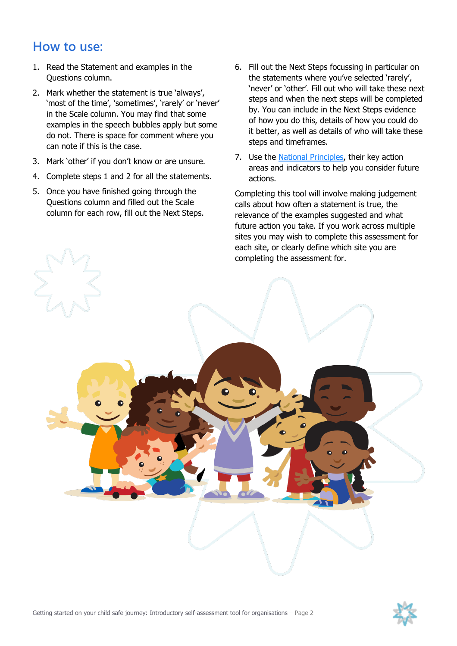## **How to use:**

- 1. Read the Statement and examples in the Questions column.
- 2. Mark whether the statement is true 'always', 'most of the time', 'sometimes', 'rarely' or 'never' in the Scale column. You may find that some examples in the speech bubbles apply but some do not. There is space for comment where you can note if this is the case.
- 3. Mark 'other' if you don't know or are unsure.
- 4. Complete steps 1 and 2 for all the statements.
- 5. Once you have finished going through the Questions column and filled out the Scale column for each row, fill out the Next Steps.
- 6. Fill out the Next Steps focussing in particular on the statements where you've selected 'rarely', 'never' or 'other'. Fill out who will take these next steps and when the next steps will be completed by. You can include in the Next Steps evidence of how you do this, details of how you could do it better, as well as details of who will take these steps and timeframes.
- 7. Use the [National Principles,](https://childsafe.humanrights.gov.au/national-principles) their key action areas and indicators to help you consider future actions.

Completing this tool will involve making judgement calls about how often a statement is true, the relevance of the examples suggested and what future action you take. If you work across multiple sites you may wish to complete this assessment for each site, or clearly define which site you are completing the assessment for.



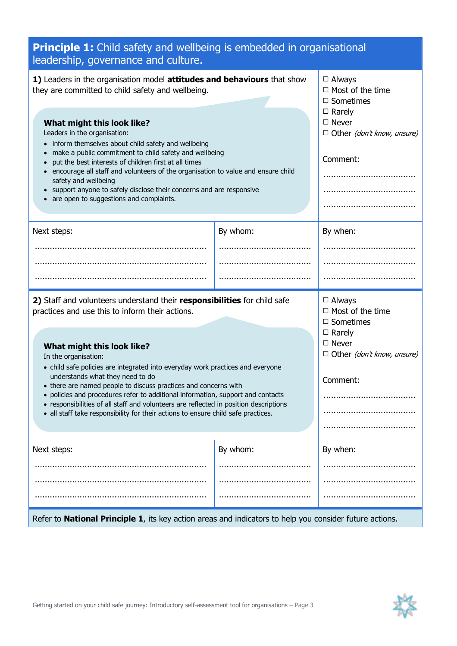| <b>Principle 1:</b> Child safety and wellbeing is embedded in organisational<br>leadership, governance and culture.                                                                                                                                                                                                                                                                                                                                                                                                                                                                                                                         |          |                                                                                                                                                |
|---------------------------------------------------------------------------------------------------------------------------------------------------------------------------------------------------------------------------------------------------------------------------------------------------------------------------------------------------------------------------------------------------------------------------------------------------------------------------------------------------------------------------------------------------------------------------------------------------------------------------------------------|----------|------------------------------------------------------------------------------------------------------------------------------------------------|
| 1) Leaders in the organisation model attitudes and behaviours that show<br>they are committed to child safety and wellbeing.                                                                                                                                                                                                                                                                                                                                                                                                                                                                                                                |          | $\Box$ Always<br>$\Box$ Most of the time<br>$\Box$ Sometimes                                                                                   |
| What might this look like?<br>Leaders in the organisation:<br>• inform themselves about child safety and wellbeing<br>make a public commitment to child safety and wellbeing<br>put the best interests of children first at all times<br>encourage all staff and volunteers of the organisation to value and ensure child<br>safety and wellbeing<br>support anyone to safely disclose their concerns and are responsive<br>are open to suggestions and complaints.                                                                                                                                                                         |          | $\Box$ Rarely<br>$\Box$ Never<br>$\Box$ Other (don't know, unsure)<br>Comment:                                                                 |
| Next steps:                                                                                                                                                                                                                                                                                                                                                                                                                                                                                                                                                                                                                                 | By whom: | By when:                                                                                                                                       |
|                                                                                                                                                                                                                                                                                                                                                                                                                                                                                                                                                                                                                                             |          |                                                                                                                                                |
|                                                                                                                                                                                                                                                                                                                                                                                                                                                                                                                                                                                                                                             |          |                                                                                                                                                |
|                                                                                                                                                                                                                                                                                                                                                                                                                                                                                                                                                                                                                                             |          |                                                                                                                                                |
| 2) Staff and volunteers understand their responsibilities for child safe<br>practices and use this to inform their actions.<br>What might this look like?<br>In the organisation:<br>• child safe policies are integrated into everyday work practices and everyone<br>understands what they need to do<br>• there are named people to discuss practices and concerns with<br>• policies and procedures refer to additional information, support and contacts<br>• responsibilities of all staff and volunteers are reflected in position descriptions<br>• all staff take responsibility for their actions to ensure child safe practices. |          | $\Box$ Always<br>$\Box$ Most of the time<br>$\Box$ Sometimes<br>$\Box$ Rarely<br>$\Box$ Never<br>$\Box$ Other (don't know, unsure)<br>Comment: |
| Next steps:                                                                                                                                                                                                                                                                                                                                                                                                                                                                                                                                                                                                                                 | By whom: | By when:                                                                                                                                       |
|                                                                                                                                                                                                                                                                                                                                                                                                                                                                                                                                                                                                                                             |          |                                                                                                                                                |
|                                                                                                                                                                                                                                                                                                                                                                                                                                                                                                                                                                                                                                             |          |                                                                                                                                                |
|                                                                                                                                                                                                                                                                                                                                                                                                                                                                                                                                                                                                                                             |          |                                                                                                                                                |
| Refer to <b>National Principle 1</b> , its key action areas and indicators to help you consider future actions.                                                                                                                                                                                                                                                                                                                                                                                                                                                                                                                             |          |                                                                                                                                                |

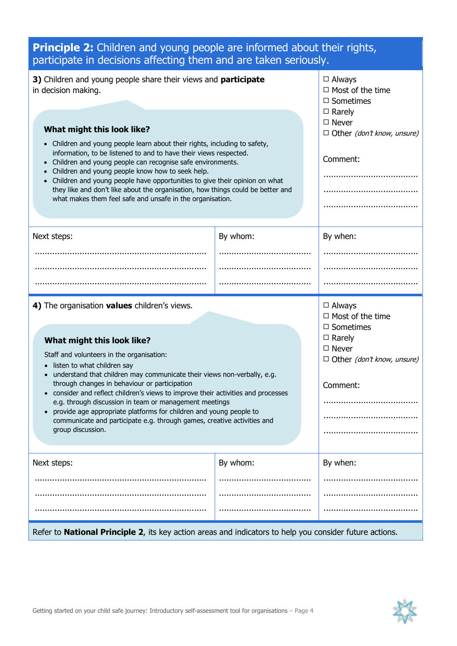| <b>Principle 2:</b> Children and young people are informed about their rights,<br>participate in decisions affecting them and are taken seriously.                                                                                                                                                                                                                                                                                                                                                                                                                                                      |          |                                                                                                                                                |
|---------------------------------------------------------------------------------------------------------------------------------------------------------------------------------------------------------------------------------------------------------------------------------------------------------------------------------------------------------------------------------------------------------------------------------------------------------------------------------------------------------------------------------------------------------------------------------------------------------|----------|------------------------------------------------------------------------------------------------------------------------------------------------|
| 3) Children and young people share their views and <b>participate</b><br>in decision making.                                                                                                                                                                                                                                                                                                                                                                                                                                                                                                            |          | $\Box$ Always<br>$\Box$ Most of the time<br>$\Box$ Sometimes<br>$\Box$ Rarely                                                                  |
| What might this look like?<br>Children and young people learn about their rights, including to safety,<br>information, to be listened to and to have their views respected.<br>Children and young people can recognise safe environments.<br>Children and young people know how to seek help.<br>Children and young people have opportunities to give their opinion on what<br>they like and don't like about the organisation, how things could be better and<br>what makes them feel safe and unsafe in the organisation.                                                                             |          | $\Box$ Never<br>$\Box$ Other (don't know, unsure)<br>Comment:                                                                                  |
| Next steps:                                                                                                                                                                                                                                                                                                                                                                                                                                                                                                                                                                                             | By whom: | By when:                                                                                                                                       |
|                                                                                                                                                                                                                                                                                                                                                                                                                                                                                                                                                                                                         |          |                                                                                                                                                |
|                                                                                                                                                                                                                                                                                                                                                                                                                                                                                                                                                                                                         |          |                                                                                                                                                |
|                                                                                                                                                                                                                                                                                                                                                                                                                                                                                                                                                                                                         |          |                                                                                                                                                |
| 4) The organisation values children's views.<br>What might this look like?<br>Staff and volunteers in the organisation:<br>listen to what children say<br>• understand that children may communicate their views non-verbally, e.g.<br>through changes in behaviour or participation<br>consider and reflect children's views to improve their activities and processes<br>e.g. through discussion in team or management meetings<br>provide age appropriate platforms for children and young people to<br>communicate and participate e.g. through games, creative activities and<br>group discussion. |          | $\Box$ Always<br>$\Box$ Most of the time<br>$\Box$ Sometimes<br>$\Box$ Rarely<br>$\Box$ Never<br>$\Box$ Other (don't know, unsure)<br>Comment: |
| Next steps:                                                                                                                                                                                                                                                                                                                                                                                                                                                                                                                                                                                             | By whom: | By when:                                                                                                                                       |
|                                                                                                                                                                                                                                                                                                                                                                                                                                                                                                                                                                                                         |          |                                                                                                                                                |
|                                                                                                                                                                                                                                                                                                                                                                                                                                                                                                                                                                                                         |          |                                                                                                                                                |
|                                                                                                                                                                                                                                                                                                                                                                                                                                                                                                                                                                                                         |          |                                                                                                                                                |
| Refer to <b>National Principle 2</b> , its key action areas and indicators to help you consider future actions.                                                                                                                                                                                                                                                                                                                                                                                                                                                                                         |          |                                                                                                                                                |

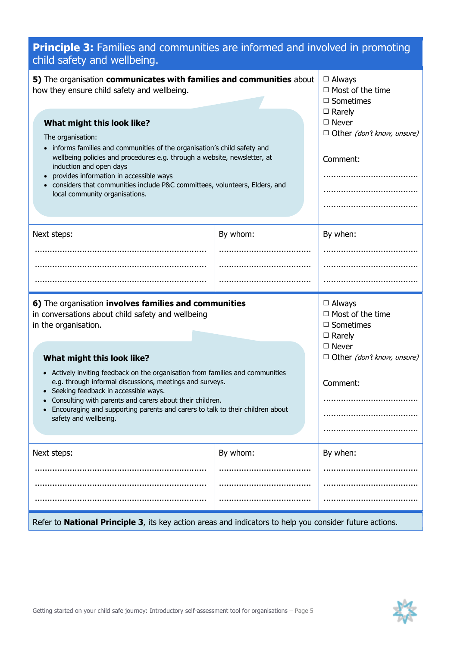| <b>Principle 3:</b> Families and communities are informed and involved in promoting<br>child safety and wellbeing.                                                                                                                                                                                                                                                                             |          |                                                                                                                                    |
|------------------------------------------------------------------------------------------------------------------------------------------------------------------------------------------------------------------------------------------------------------------------------------------------------------------------------------------------------------------------------------------------|----------|------------------------------------------------------------------------------------------------------------------------------------|
| 5) The organisation communicates with families and communities about<br>how they ensure child safety and wellbeing.                                                                                                                                                                                                                                                                            |          | $\Box$ Always<br>$\Box$ Most of the time<br>$\Box$ Sometimes                                                                       |
| What might this look like?<br>The organisation:<br>• informs families and communities of the organisation's child safety and<br>wellbeing policies and procedures e.g. through a website, newsletter, at<br>induction and open days<br>provides information in accessible ways<br>considers that communities include P&C committees, volunteers, Elders, and<br>local community organisations. |          | $\Box$ Rarely<br>$\Box$ Never<br>$\Box$ Other (don't know, unsure)<br>Comment:                                                     |
| Next steps:                                                                                                                                                                                                                                                                                                                                                                                    | By whom: | By when:                                                                                                                           |
|                                                                                                                                                                                                                                                                                                                                                                                                |          |                                                                                                                                    |
|                                                                                                                                                                                                                                                                                                                                                                                                |          |                                                                                                                                    |
|                                                                                                                                                                                                                                                                                                                                                                                                |          |                                                                                                                                    |
| 6) The organisation involves families and communities<br>in conversations about child safety and wellbeing<br>in the organisation.<br>What might this look like?<br>• Actively inviting feedback on the organisation from families and communities                                                                                                                                             |          | $\Box$ Always<br>$\Box$ Most of the time<br>$\Box$ Sometimes<br>$\Box$ Rarely<br>$\Box$ Never<br>$\Box$ Other (don't know, unsure) |
| e.g. through informal discussions, meetings and surveys.                                                                                                                                                                                                                                                                                                                                       |          | Comment:                                                                                                                           |

- Seeking feedback in accessible ways.
- Consulting with parents and carers about their children.
- Encouraging and supporting parents and carers to talk to their children about safety and wellbeing.

| Next steps: | By whom: | By when: |
|-------------|----------|----------|
|             |          |          |
|             |          |          |
|             |          |          |
|             |          |          |

#### Refer to **National Principle 3**, its key action areas and indicators to help you consider future actions.

......................................

......................................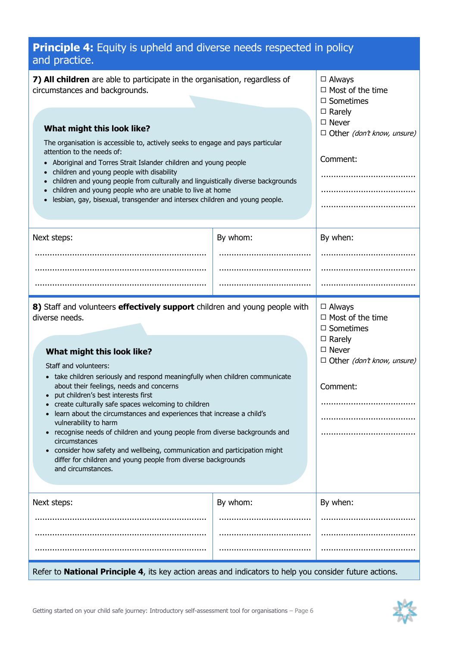| <b>Principle 4:</b> Equity is upheld and diverse needs respected in policy<br>and practice.                                                                                                                                                                                                                                                                                                                                                                                                                                                                                                                                                                                                                                                      |          |                                                                                                                                                |
|--------------------------------------------------------------------------------------------------------------------------------------------------------------------------------------------------------------------------------------------------------------------------------------------------------------------------------------------------------------------------------------------------------------------------------------------------------------------------------------------------------------------------------------------------------------------------------------------------------------------------------------------------------------------------------------------------------------------------------------------------|----------|------------------------------------------------------------------------------------------------------------------------------------------------|
| 7) All children are able to participate in the organisation, regardless of<br>circumstances and backgrounds.<br>What might this look like?<br>The organisation is accessible to, actively seeks to engage and pays particular<br>attention to the needs of:<br>Aboriginal and Torres Strait Islander children and young people<br>children and young people with disability<br>children and young people from culturally and linguistically diverse backgrounds<br>children and young people who are unable to live at home<br>lesbian, gay, bisexual, transgender and intersex children and young people.                                                                                                                                       |          | $\Box$ Always<br>$\Box$ Most of the time<br>$\Box$ Sometimes<br>$\Box$ Rarely<br>$\Box$ Never<br>$\Box$ Other (don't know, unsure)<br>Comment: |
| Next steps:                                                                                                                                                                                                                                                                                                                                                                                                                                                                                                                                                                                                                                                                                                                                      | By whom: | By when:                                                                                                                                       |
|                                                                                                                                                                                                                                                                                                                                                                                                                                                                                                                                                                                                                                                                                                                                                  |          |                                                                                                                                                |
| 8) Staff and volunteers effectively support children and young people with<br>diverse needs.<br>What might this look like?<br>Staff and volunteers:<br>• take children seriously and respond meaningfully when children communicate<br>about their feelings, needs and concerns<br>put children's best interests first<br>create culturally safe spaces welcoming to children<br>learn about the circumstances and experiences that increase a child's<br>vulnerability to harm<br>recognise needs of children and young people from diverse backgrounds and<br>circumstances<br>consider how safety and wellbeing, communication and participation might<br>differ for children and young people from diverse backgrounds<br>and circumstances. |          | $\Box$ Always<br>$\Box$ Most of the time<br>$\Box$ Sometimes<br>$\Box$ Rarely<br>$\Box$ Never<br>$\Box$ Other (don't know, unsure)<br>Comment: |
| Next steps:                                                                                                                                                                                                                                                                                                                                                                                                                                                                                                                                                                                                                                                                                                                                      | By whom: | By when:                                                                                                                                       |
|                                                                                                                                                                                                                                                                                                                                                                                                                                                                                                                                                                                                                                                                                                                                                  |          |                                                                                                                                                |
|                                                                                                                                                                                                                                                                                                                                                                                                                                                                                                                                                                                                                                                                                                                                                  |          |                                                                                                                                                |

Refer to **National Principle 4**, its key action areas and indicators to help you consider future actions.

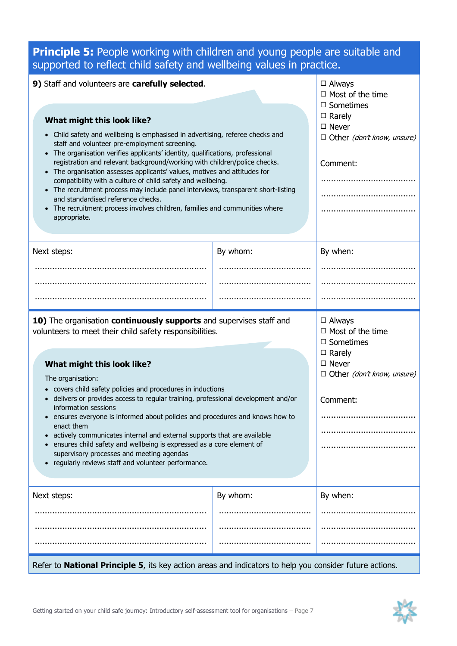#### **Principle 5:** People working with children and young people are suitable and supported to reflect child safety and wellbeing values in practice.

| 9) Staff and volunteers are carefully selected.<br>What might this look like?<br>Child safety and wellbeing is emphasised in advertising, referee checks and<br>staff and volunteer pre-employment screening.<br>• The organisation verifies applicants' identity, qualifications, professional<br>registration and relevant background/working with children/police checks.<br>• The organisation assesses applicants' values, motives and attitudes for<br>compatibility with a culture of child safety and wellbeing.<br>• The recruitment process may include panel interviews, transparent short-listing<br>and standardised reference checks.<br>The recruitment process involves children, families and communities where<br>appropriate.<br>By whom:<br>Next steps: |          | $\Box$ Always<br>$\Box$ Most of the time<br>$\Box$ Sometimes<br>$\Box$ Rarely<br>$\Box$ Never<br>$\Box$ Other (don't know, unsure)<br>Comment:    |
|-----------------------------------------------------------------------------------------------------------------------------------------------------------------------------------------------------------------------------------------------------------------------------------------------------------------------------------------------------------------------------------------------------------------------------------------------------------------------------------------------------------------------------------------------------------------------------------------------------------------------------------------------------------------------------------------------------------------------------------------------------------------------------|----------|---------------------------------------------------------------------------------------------------------------------------------------------------|
|                                                                                                                                                                                                                                                                                                                                                                                                                                                                                                                                                                                                                                                                                                                                                                             |          | By when:                                                                                                                                          |
|                                                                                                                                                                                                                                                                                                                                                                                                                                                                                                                                                                                                                                                                                                                                                                             |          |                                                                                                                                                   |
| 10) The organisation continuously supports and supervises staff and<br>volunteers to meet their child safety responsibilities.<br>What might this look like?<br>The organisation:<br>• covers child safety policies and procedures in inductions<br>delivers or provides access to regular training, professional development and/or<br>information sessions<br>ensures everyone is informed about policies and procedures and knows how to<br>enact them<br>actively communicates internal and external supports that are available<br>ensures child safety and wellbeing is expressed as a core element of<br>supervisory processes and meeting agendas<br>regularly reviews staff and volunteer performance.                                                             |          | $\Box$ Always<br>$\Box$ Most of the time<br>$\Box$ Sometimes<br>$\Box$ Rarely<br>$\square$ Never<br>$\Box$ Other (don't know, unsure)<br>Comment: |
| Next steps:                                                                                                                                                                                                                                                                                                                                                                                                                                                                                                                                                                                                                                                                                                                                                                 | By whom: | By when:                                                                                                                                          |
| Refer to <b>National Principle 5</b> , its key action areas and indicators to help you consider future actions.                                                                                                                                                                                                                                                                                                                                                                                                                                                                                                                                                                                                                                                             |          |                                                                                                                                                   |

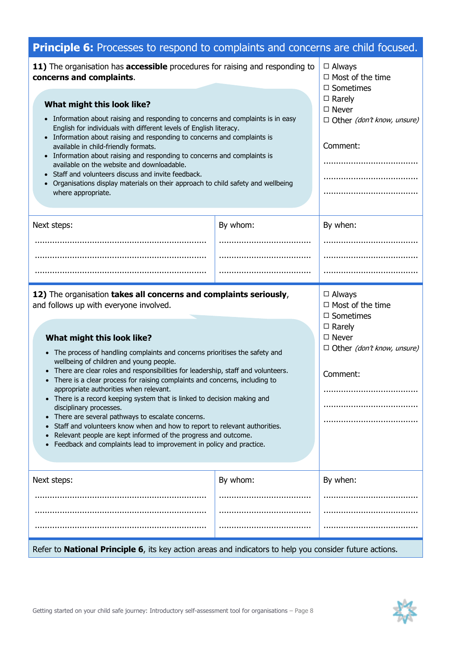| <b>Principle 6:</b> Processes to respond to complaints and concerns are child focused.                                                                                                                                                                                                                                                                                                                                                                                                                                                                                                                                                                                                                                                                                                                                                                                             |          |                                                                                                                                                       |
|------------------------------------------------------------------------------------------------------------------------------------------------------------------------------------------------------------------------------------------------------------------------------------------------------------------------------------------------------------------------------------------------------------------------------------------------------------------------------------------------------------------------------------------------------------------------------------------------------------------------------------------------------------------------------------------------------------------------------------------------------------------------------------------------------------------------------------------------------------------------------------|----------|-------------------------------------------------------------------------------------------------------------------------------------------------------|
| 11) The organisation has accessible procedures for raising and responding to<br>concerns and complaints.<br>What might this look like?<br>• Information about raising and responding to concerns and complaints is in easy<br>English for individuals with different levels of English literacy.<br>• Information about raising and responding to concerns and complaints is<br>available in child-friendly formats.<br>• Information about raising and responding to concerns and complaints is<br>available on the website and downloadable.<br>• Staff and volunteers discuss and invite feedback.<br>Organisations display materials on their approach to child safety and wellbeing<br>where appropriate.                                                                                                                                                                     |          | $\Box$ Always<br>$\Box$ Most of the time<br>$\square$ Sometimes<br>$\Box$ Rarely<br>$\Box$ Never<br>$\Box$ Other (don't know, unsure)<br>Comment:<br> |
| Next steps:                                                                                                                                                                                                                                                                                                                                                                                                                                                                                                                                                                                                                                                                                                                                                                                                                                                                        | By whom: | By when:                                                                                                                                              |
|                                                                                                                                                                                                                                                                                                                                                                                                                                                                                                                                                                                                                                                                                                                                                                                                                                                                                    |          |                                                                                                                                                       |
|                                                                                                                                                                                                                                                                                                                                                                                                                                                                                                                                                                                                                                                                                                                                                                                                                                                                                    |          |                                                                                                                                                       |
|                                                                                                                                                                                                                                                                                                                                                                                                                                                                                                                                                                                                                                                                                                                                                                                                                                                                                    |          |                                                                                                                                                       |
| 12) The organisation takes all concerns and complaints seriously,<br>and follows up with everyone involved.<br>What might this look like?<br>• The process of handling complaints and concerns prioritises the safety and<br>wellbeing of children and young people.<br>• There are clear roles and responsibilities for leadership, staff and volunteers.<br>• There is a clear process for raising complaints and concerns, including to<br>appropriate authorities when relevant.<br>• There is a record keeping system that is linked to decision making and<br>disciplinary processes.<br>There are several pathways to escalate concerns.<br>$\bullet$<br>Staff and volunteers know when and how to report to relevant authorities.<br>Relevant people are kept informed of the progress and outcome.<br>Feedback and complaints lead to improvement in policy and practice. |          | $\Box$ Always<br>$\Box$ Most of the time<br>$\Box$ Sometimes<br>$\square$ Rarely<br>$\Box$ Never<br>$\Box$ Other (don't know, unsure)<br>Comment:     |
| Next steps:                                                                                                                                                                                                                                                                                                                                                                                                                                                                                                                                                                                                                                                                                                                                                                                                                                                                        | By whom: | By when:                                                                                                                                              |
|                                                                                                                                                                                                                                                                                                                                                                                                                                                                                                                                                                                                                                                                                                                                                                                                                                                                                    |          |                                                                                                                                                       |
|                                                                                                                                                                                                                                                                                                                                                                                                                                                                                                                                                                                                                                                                                                                                                                                                                                                                                    |          |                                                                                                                                                       |
|                                                                                                                                                                                                                                                                                                                                                                                                                                                                                                                                                                                                                                                                                                                                                                                                                                                                                    |          |                                                                                                                                                       |

#### Refer to **National Principle 6**, its key action areas and indicators to help you consider future actions.

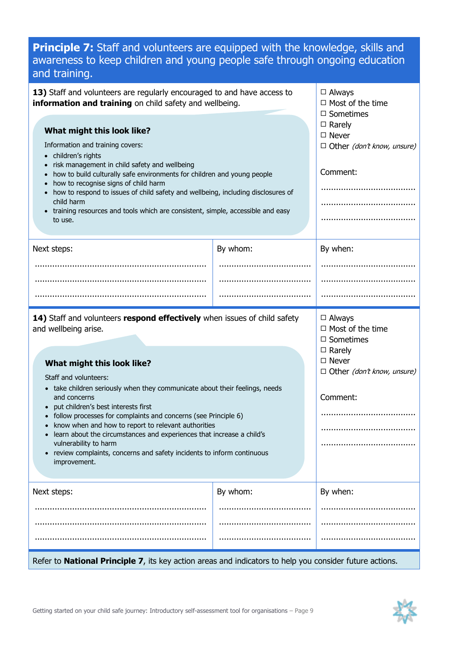## **Principle 7:** Staff and volunteers are equipped with the knowledge, skills and awareness to keep children and young people safe through ongoing education and training.

| By whom:<br>By when:<br>14) Staff and volunteers respond effectively when issues of child safety<br>$\Box$ Always<br>$\Box$ Most of the time<br>$\Box$ Sometimes<br>$\Box$ Rarely<br>$\Box$ Never<br>What might this look like?<br>$\Box$ Other (don't know, unsure)<br>Staff and volunteers:<br>• take children seriously when they communicate about their feelings, needs<br>Comment:<br>and concerns<br>put children's best interests first<br>follow processes for complaints and concerns (see Principle 6)<br>know when and how to report to relevant authorities<br>learn about the circumstances and experiences that increase a child's<br>vulnerability to harm<br>review complaints, concerns and safety incidents to inform continuous<br>improvement. | What might this look like?<br>Information and training covers:<br>• children's rights<br>risk management in child safety and wellbeing<br>how to build culturally safe environments for children and young people<br>how to recognise signs of child harm<br>how to respond to issues of child safety and wellbeing, including disclosures of<br>child harm<br>• training resources and tools which are consistent, simple, accessible and easy<br>to use. | information and training on child safety and wellbeing. | $\Box$ Most of the time<br>$\Box$ Sometimes<br>$\square$ Rarely<br>$\Box$ Never<br>$\Box$ Other (don't know, unsure)<br>Comment: |
|---------------------------------------------------------------------------------------------------------------------------------------------------------------------------------------------------------------------------------------------------------------------------------------------------------------------------------------------------------------------------------------------------------------------------------------------------------------------------------------------------------------------------------------------------------------------------------------------------------------------------------------------------------------------------------------------------------------------------------------------------------------------|------------------------------------------------------------------------------------------------------------------------------------------------------------------------------------------------------------------------------------------------------------------------------------------------------------------------------------------------------------------------------------------------------------------------------------------------------------|---------------------------------------------------------|----------------------------------------------------------------------------------------------------------------------------------|
|                                                                                                                                                                                                                                                                                                                                                                                                                                                                                                                                                                                                                                                                                                                                                                     | Next steps:                                                                                                                                                                                                                                                                                                                                                                                                                                                |                                                         |                                                                                                                                  |
|                                                                                                                                                                                                                                                                                                                                                                                                                                                                                                                                                                                                                                                                                                                                                                     |                                                                                                                                                                                                                                                                                                                                                                                                                                                            |                                                         |                                                                                                                                  |
|                                                                                                                                                                                                                                                                                                                                                                                                                                                                                                                                                                                                                                                                                                                                                                     |                                                                                                                                                                                                                                                                                                                                                                                                                                                            |                                                         |                                                                                                                                  |
|                                                                                                                                                                                                                                                                                                                                                                                                                                                                                                                                                                                                                                                                                                                                                                     |                                                                                                                                                                                                                                                                                                                                                                                                                                                            |                                                         |                                                                                                                                  |
|                                                                                                                                                                                                                                                                                                                                                                                                                                                                                                                                                                                                                                                                                                                                                                     | and wellbeing arise.                                                                                                                                                                                                                                                                                                                                                                                                                                       |                                                         |                                                                                                                                  |
| By whom:<br>By when:                                                                                                                                                                                                                                                                                                                                                                                                                                                                                                                                                                                                                                                                                                                                                |                                                                                                                                                                                                                                                                                                                                                                                                                                                            |                                                         |                                                                                                                                  |
|                                                                                                                                                                                                                                                                                                                                                                                                                                                                                                                                                                                                                                                                                                                                                                     | Next steps:                                                                                                                                                                                                                                                                                                                                                                                                                                                |                                                         |                                                                                                                                  |
|                                                                                                                                                                                                                                                                                                                                                                                                                                                                                                                                                                                                                                                                                                                                                                     |                                                                                                                                                                                                                                                                                                                                                                                                                                                            |                                                         |                                                                                                                                  |
|                                                                                                                                                                                                                                                                                                                                                                                                                                                                                                                                                                                                                                                                                                                                                                     |                                                                                                                                                                                                                                                                                                                                                                                                                                                            |                                                         |                                                                                                                                  |

Refer to **National Principle 7**, its key action areas and indicators to help you consider future actions.

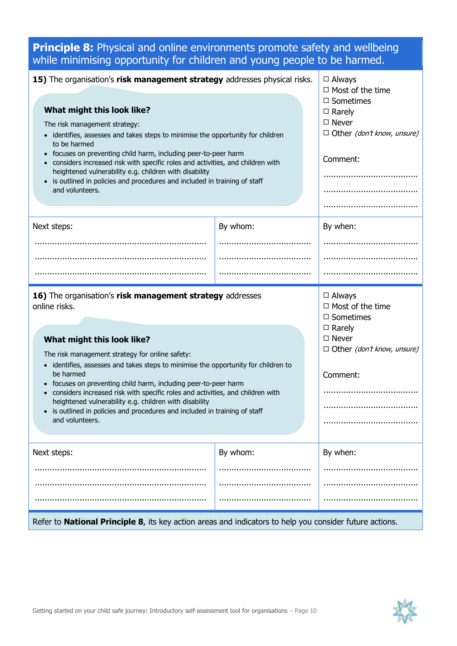## **Principle 8:** Physical and online environments promote safety and wellbeing while minimising opportunity for children and young people to be harmed.

| 15) The organisation's risk management strategy addresses physical risks.<br>What might this look like?<br>The risk management strategy:<br>identifies, assesses and takes steps to minimise the opportunity for children<br>to be harmed<br>focuses on preventing child harm, including peer-to-peer harm<br>considers increased risk with specific roles and activities, and children with<br>heightened vulnerability e.g. children with disability<br>is outlined in policies and procedures and included in training of staff<br>and volunteers.                        |          | $\Box$ Always<br>$\Box$ Most of the time<br>$\Box$ Sometimes<br>$\Box$ Rarely<br>$\Box$ Never<br>$\Box$ Other (don't know, unsure)<br>Comment: |
|------------------------------------------------------------------------------------------------------------------------------------------------------------------------------------------------------------------------------------------------------------------------------------------------------------------------------------------------------------------------------------------------------------------------------------------------------------------------------------------------------------------------------------------------------------------------------|----------|------------------------------------------------------------------------------------------------------------------------------------------------|
| Next steps:                                                                                                                                                                                                                                                                                                                                                                                                                                                                                                                                                                  | By whom: | By when:                                                                                                                                       |
|                                                                                                                                                                                                                                                                                                                                                                                                                                                                                                                                                                              |          |                                                                                                                                                |
|                                                                                                                                                                                                                                                                                                                                                                                                                                                                                                                                                                              |          |                                                                                                                                                |
|                                                                                                                                                                                                                                                                                                                                                                                                                                                                                                                                                                              |          |                                                                                                                                                |
| 16) The organisation's risk management strategy addresses<br>online risks.<br>What might this look like?<br>The risk management strategy for online safety:<br>• identifies, assesses and takes steps to minimise the opportunity for children to<br>be harmed<br>focuses on preventing child harm, including peer-to-peer harm<br>considers increased risk with specific roles and activities, and children with<br>heightened vulnerability e.g. children with disability<br>• is outlined in policies and procedures and included in training of staff<br>and volunteers. |          | $\Box$ Always<br>$\Box$ Most of the time<br>$\Box$ Sometimes<br>$\Box$ Rarely<br>$\Box$ Never<br>$\Box$ Other (don't know, unsure)<br>Comment: |
| Next steps:                                                                                                                                                                                                                                                                                                                                                                                                                                                                                                                                                                  | By whom: | By when:                                                                                                                                       |
|                                                                                                                                                                                                                                                                                                                                                                                                                                                                                                                                                                              |          |                                                                                                                                                |
|                                                                                                                                                                                                                                                                                                                                                                                                                                                                                                                                                                              |          |                                                                                                                                                |
|                                                                                                                                                                                                                                                                                                                                                                                                                                                                                                                                                                              |          |                                                                                                                                                |
| Refer to <b>National Principle 8</b> , its key action areas and indicators to help you consider future actions.                                                                                                                                                                                                                                                                                                                                                                                                                                                              |          |                                                                                                                                                |

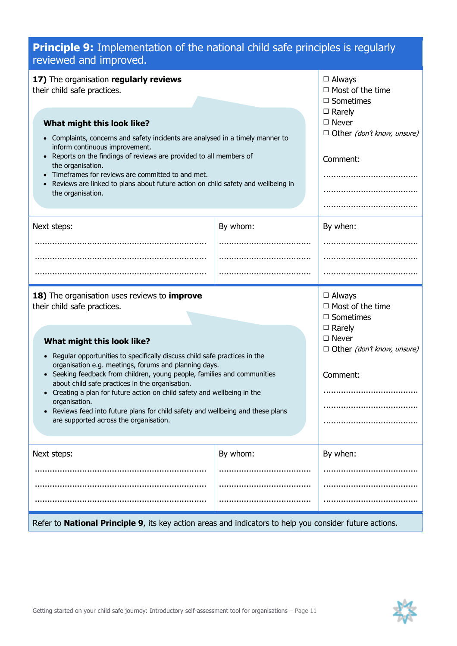| <b>Principle 9:</b> Implementation of the national child safe principles is regularly<br>reviewed and improved.                                                                                                                                                                                                                                                                                                                                                                                                      |          |                                                                                                                                    |
|----------------------------------------------------------------------------------------------------------------------------------------------------------------------------------------------------------------------------------------------------------------------------------------------------------------------------------------------------------------------------------------------------------------------------------------------------------------------------------------------------------------------|----------|------------------------------------------------------------------------------------------------------------------------------------|
| 17) The organisation regularly reviews<br>their child safe practices.<br>What might this look like?<br>Complaints, concerns and safety incidents are analysed in a timely manner to                                                                                                                                                                                                                                                                                                                                  |          | $\Box$ Always<br>$\Box$ Most of the time<br>$\Box$ Sometimes<br>$\Box$ Rarely<br>$\Box$ Never<br>$\Box$ Other (don't know, unsure) |
| inform continuous improvement.<br>Reports on the findings of reviews are provided to all members of<br>$\bullet$<br>the organisation.<br>Timeframes for reviews are committed to and met.<br>$\bullet$<br>Reviews are linked to plans about future action on child safety and wellbeing in<br>the organisation.                                                                                                                                                                                                      |          | Comment:                                                                                                                           |
| Next steps:                                                                                                                                                                                                                                                                                                                                                                                                                                                                                                          | By whom: | By when:                                                                                                                           |
|                                                                                                                                                                                                                                                                                                                                                                                                                                                                                                                      |          |                                                                                                                                    |
|                                                                                                                                                                                                                                                                                                                                                                                                                                                                                                                      |          |                                                                                                                                    |
|                                                                                                                                                                                                                                                                                                                                                                                                                                                                                                                      |          |                                                                                                                                    |
| 18) The organisation uses reviews to <i>improve</i><br>their child safe practices.                                                                                                                                                                                                                                                                                                                                                                                                                                   |          | $\square$ Always<br>$\Box$ Most of the time<br>$\Box$ Sometimes                                                                    |
| What might this look like?<br>Regular opportunities to specifically discuss child safe practices in the<br>organisation e.g. meetings, forums and planning days.<br>• Seeking feedback from children, young people, families and communities<br>about child safe practices in the organisation<br>Creating a plan for future action on child safety and wellbeing in the<br>organisation.<br>Reviews feed into future plans for child safety and wellbeing and these plans<br>are supported across the organisation. |          | $\Box$ Rarely<br>$\square$ Never<br>$\Box$ Other (don't know, unsure)<br>Comment:                                                  |
| Next steps:                                                                                                                                                                                                                                                                                                                                                                                                                                                                                                          | By whom: | By when:                                                                                                                           |
|                                                                                                                                                                                                                                                                                                                                                                                                                                                                                                                      |          |                                                                                                                                    |
|                                                                                                                                                                                                                                                                                                                                                                                                                                                                                                                      |          |                                                                                                                                    |
|                                                                                                                                                                                                                                                                                                                                                                                                                                                                                                                      |          |                                                                                                                                    |

#### Refer to **National Principle 9**, its key action areas and indicators to help you consider future actions.